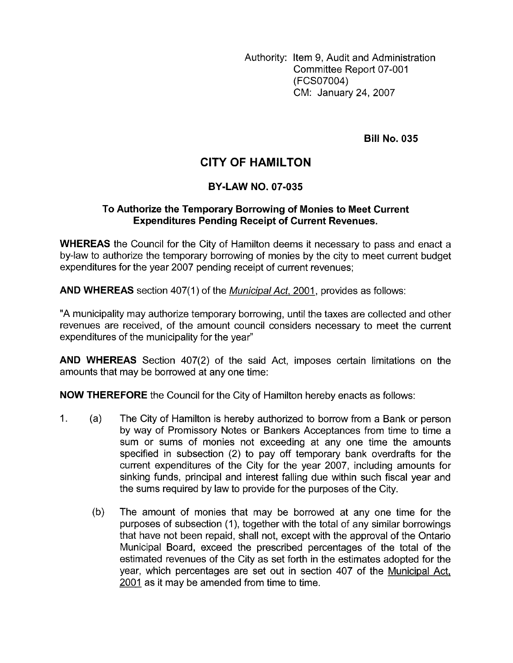Authority: Item 9, Audit and Administration Committee Report 07-001 (FCSO7004) CM: January 24,2007

**Bill No. 035** 

## **CITY OF HAMILTON**

## **BY-LAW NO. 07-035**

## **To Authorize the Temporary Borrowing of Monies to Meet Current Expenditures Pending Receipt of Current Revenues.**

**WHEREAS** the Council for the City of Hamilton deems it necessary to pass and enact a by-law to authorize the temporary borrowing of monies by the city to meet current budget expenditures for the year 2007 pending receipt of current revenues;

AND WHEREAS section 407(1) of the *Municipal Act*, 2001, provides as follows:

"A municipality may authorize temporary borrowing, until the taxes are collected and other revenues are received, of the amount council considers necessary to meet the current expenditures of the municipality for the year"

**AND WHEREAS** Section 407(2) of the said Act, imposes certain limitations on the amounts that may be borrowed at any one time:

**NOW THEREFORE** the Council for the City of Hamilton hereby enacts as follows:

- 1. (a) The City of Hamilton is hereby authorized to borrow from a Bank or person by way of Promissory Notes or Bankers Acceptances from time to time a sum or sums of monies not exceeding at any one time the amounts specified in subsection (2) to pay off temporary bank overdrafts for the current expenditures of the City for the year 2007, including amounts for sinking funds, principal and interest falling due within such fiscal year and the sums required by law to provide for the purposes of the City.
	- (b) The amount of monies that may be borrowed at any one time for the purposes of subsection (1), together with the total of any similar borrowings that have not been repaid, shall not, except with the approval of the Ontario Municipal Board, exceed the prescribed percentages of the total of the estimated revenues of the City as set forth in the estimates adopted for the year, which percentages are set out in section 407 of the Municipal Act, 2001 as it may be amended from time to time.